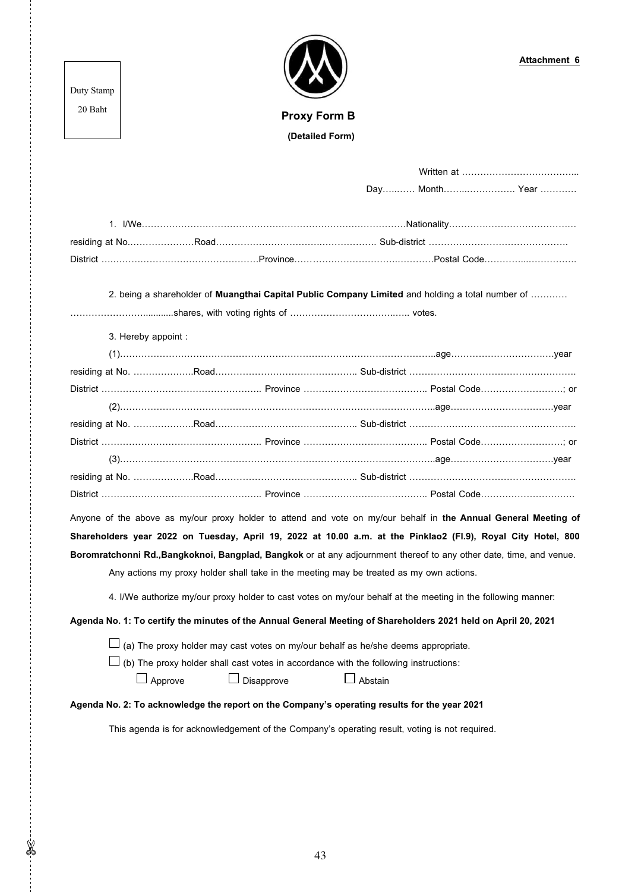Duty Stamp 20 Baht

 **Proxy Form B (Detailed Form)**

|                                                                                                                     |                                                                                      | Day Month Year                                                                                                  |  |  |  |
|---------------------------------------------------------------------------------------------------------------------|--------------------------------------------------------------------------------------|-----------------------------------------------------------------------------------------------------------------|--|--|--|
|                                                                                                                     |                                                                                      |                                                                                                                 |  |  |  |
|                                                                                                                     |                                                                                      |                                                                                                                 |  |  |  |
|                                                                                                                     |                                                                                      |                                                                                                                 |  |  |  |
|                                                                                                                     |                                                                                      | 2. being a shareholder of <b>Muangthai Capital Public Company Limited</b> and holding a total number of         |  |  |  |
|                                                                                                                     |                                                                                      |                                                                                                                 |  |  |  |
| 3. Hereby appoint :                                                                                                 |                                                                                      |                                                                                                                 |  |  |  |
|                                                                                                                     |                                                                                      |                                                                                                                 |  |  |  |
|                                                                                                                     |                                                                                      |                                                                                                                 |  |  |  |
|                                                                                                                     |                                                                                      |                                                                                                                 |  |  |  |
|                                                                                                                     |                                                                                      |                                                                                                                 |  |  |  |
|                                                                                                                     |                                                                                      |                                                                                                                 |  |  |  |
|                                                                                                                     |                                                                                      |                                                                                                                 |  |  |  |
|                                                                                                                     |                                                                                      |                                                                                                                 |  |  |  |
|                                                                                                                     |                                                                                      |                                                                                                                 |  |  |  |
|                                                                                                                     |                                                                                      |                                                                                                                 |  |  |  |
|                                                                                                                     |                                                                                      | Anyone of the above as my/our proxy holder to attend and vote on my/our behalf in the Annual General Meeting of |  |  |  |
| Shareholders year 2022 on Tuesday, April 19, 2022 at 10.00 a.m. at the Pinklao2 (FI.9), Royal City Hotel, 800       |                                                                                      |                                                                                                                 |  |  |  |
| Boromratchonni Rd., Bangkoknoi, Bangplad, Bangkok or at any adjournment thereof to any other date, time, and venue. |                                                                                      |                                                                                                                 |  |  |  |
| Any actions my proxy holder shall take in the meeting may be treated as my own actions.                             |                                                                                      |                                                                                                                 |  |  |  |
|                                                                                                                     |                                                                                      |                                                                                                                 |  |  |  |
| 4. I/We authorize my/our proxy holder to cast votes on my/our behalf at the meeting in the following manner:        |                                                                                      |                                                                                                                 |  |  |  |
| Agenda No. 1: To certify the minutes of the Annual General Meeting of Shareholders 2021 held on April 20, 2021      |                                                                                      |                                                                                                                 |  |  |  |
| (a) The proxy holder may cast votes on my/our behalf as he/she deems appropriate.                                   |                                                                                      |                                                                                                                 |  |  |  |
|                                                                                                                     | (b) The proxy holder shall cast votes in accordance with the following instructions: |                                                                                                                 |  |  |  |

 $\square$  Approve  $\square$  Disapprove  $\square$  Abstain

 $-36 - 7$ 

## **Agenda No. 2: To acknowledge the report on the Company's operating results for the year 2021**

This agenda is for acknowledgement of the Company's operating result, voting is not required.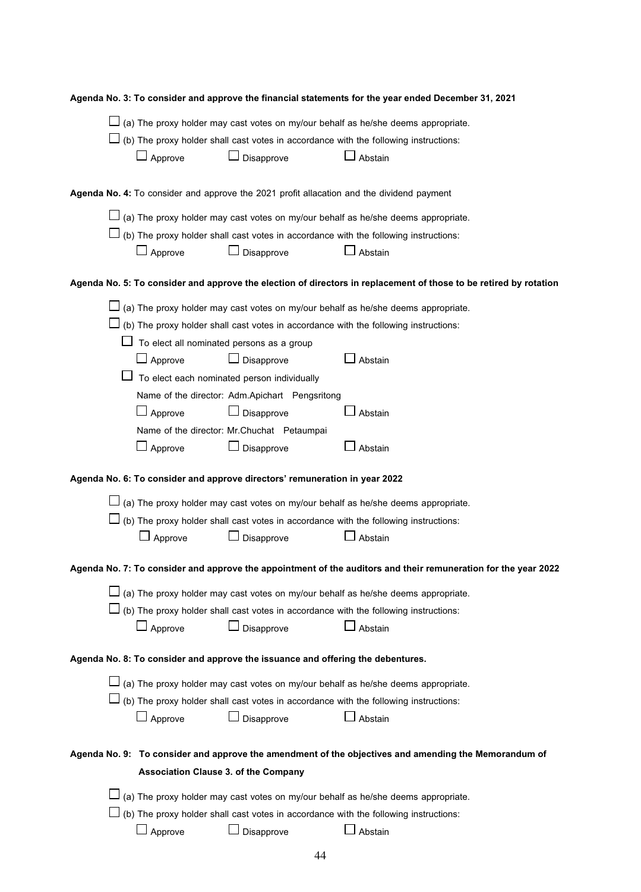|                                                                                                      | Agenda No. 3: To consider and approve the financial statements for the year ended December 31, 2021 |                                                |                                                                                                                   |  |  |  |
|------------------------------------------------------------------------------------------------------|-----------------------------------------------------------------------------------------------------|------------------------------------------------|-------------------------------------------------------------------------------------------------------------------|--|--|--|
| (a) The proxy holder may cast votes on my/our behalf as he/she deems appropriate.                    |                                                                                                     |                                                |                                                                                                                   |  |  |  |
|                                                                                                      |                                                                                                     |                                                | (b) The proxy holder shall cast votes in accordance with the following instructions:                              |  |  |  |
|                                                                                                      | Approve                                                                                             | Disapprove                                     | Abstain                                                                                                           |  |  |  |
|                                                                                                      |                                                                                                     |                                                |                                                                                                                   |  |  |  |
|                                                                                                      | Agenda No. 4: To consider and approve the 2021 profit allacation and the dividend payment           |                                                |                                                                                                                   |  |  |  |
|                                                                                                      |                                                                                                     |                                                | (a) The proxy holder may cast votes on my/our behalf as he/she deems appropriate.                                 |  |  |  |
|                                                                                                      |                                                                                                     |                                                | (b) The proxy holder shall cast votes in accordance with the following instructions:                              |  |  |  |
|                                                                                                      | $\Box$ Approve                                                                                      | Disapprove                                     | Abstain                                                                                                           |  |  |  |
|                                                                                                      |                                                                                                     |                                                | Agenda No. 5: To consider and approve the election of directors in replacement of those to be retired by rotation |  |  |  |
|                                                                                                      |                                                                                                     |                                                | (a) The proxy holder may cast votes on my/our behalf as he/she deems appropriate.                                 |  |  |  |
|                                                                                                      |                                                                                                     |                                                | (b) The proxy holder shall cast votes in accordance with the following instructions:                              |  |  |  |
|                                                                                                      |                                                                                                     | To elect all nominated persons as a group      |                                                                                                                   |  |  |  |
|                                                                                                      | $\Box$ Approve                                                                                      | $\Box$<br>Disapprove                           | Abstain                                                                                                           |  |  |  |
|                                                                                                      |                                                                                                     | To elect each nominated person individually    |                                                                                                                   |  |  |  |
|                                                                                                      |                                                                                                     | Name of the director: Adm.Apichart Pengsritong |                                                                                                                   |  |  |  |
|                                                                                                      | $\Box$ Approve                                                                                      | Disapprove                                     | Abstain                                                                                                           |  |  |  |
|                                                                                                      |                                                                                                     | Name of the director: Mr.Chuchat Petaumpai     |                                                                                                                   |  |  |  |
|                                                                                                      | $\Box$ Approve                                                                                      | Disapprove                                     | Abstain                                                                                                           |  |  |  |
| Agenda No. 6: To consider and approve directors' remuneration in year 2022                           |                                                                                                     |                                                |                                                                                                                   |  |  |  |
|                                                                                                      |                                                                                                     |                                                | (a) The proxy holder may cast votes on my/our behalf as he/she deems appropriate.                                 |  |  |  |
|                                                                                                      |                                                                                                     |                                                | (b) The proxy holder shall cast votes in accordance with the following instructions:                              |  |  |  |
|                                                                                                      | $\Box$ Approve                                                                                      | Disapprove                                     | Abstain                                                                                                           |  |  |  |
|                                                                                                      |                                                                                                     |                                                | Agenda No. 7: To consider and approve the appointment of the auditors and their remuneration for the year 2022    |  |  |  |
|                                                                                                      |                                                                                                     |                                                |                                                                                                                   |  |  |  |
|                                                                                                      |                                                                                                     |                                                | (a) The proxy holder may cast votes on my/our behalf as he/she deems appropriate.                                 |  |  |  |
|                                                                                                      |                                                                                                     |                                                | (b) The proxy holder shall cast votes in accordance with the following instructions:                              |  |  |  |
|                                                                                                      | $\Box$ Approve                                                                                      | Disapprove                                     | Abstain                                                                                                           |  |  |  |
| Agenda No. 8: To consider and approve the issuance and offering the debentures.                      |                                                                                                     |                                                |                                                                                                                   |  |  |  |
|                                                                                                      |                                                                                                     |                                                | (a) The proxy holder may cast votes on my/our behalf as he/she deems appropriate.                                 |  |  |  |
|                                                                                                      |                                                                                                     |                                                | (b) The proxy holder shall cast votes in accordance with the following instructions:                              |  |  |  |
|                                                                                                      | $\Box$ Approve                                                                                      | Disapprove                                     | Abstain                                                                                                           |  |  |  |
|                                                                                                      |                                                                                                     |                                                |                                                                                                                   |  |  |  |
| Agenda No. 9: To consider and approve the amendment of the objectives and amending the Memorandum of |                                                                                                     |                                                |                                                                                                                   |  |  |  |
|                                                                                                      |                                                                                                     | <b>Association Clause 3. of the Company</b>    |                                                                                                                   |  |  |  |
|                                                                                                      | (a) The proxy holder may cast votes on my/our behalf as he/she deems appropriate.                   |                                                |                                                                                                                   |  |  |  |
|                                                                                                      | (b) The proxy holder shall cast votes in accordance with the following instructions:                |                                                |                                                                                                                   |  |  |  |
|                                                                                                      | Approve                                                                                             | Disapprove                                     | Abstain                                                                                                           |  |  |  |